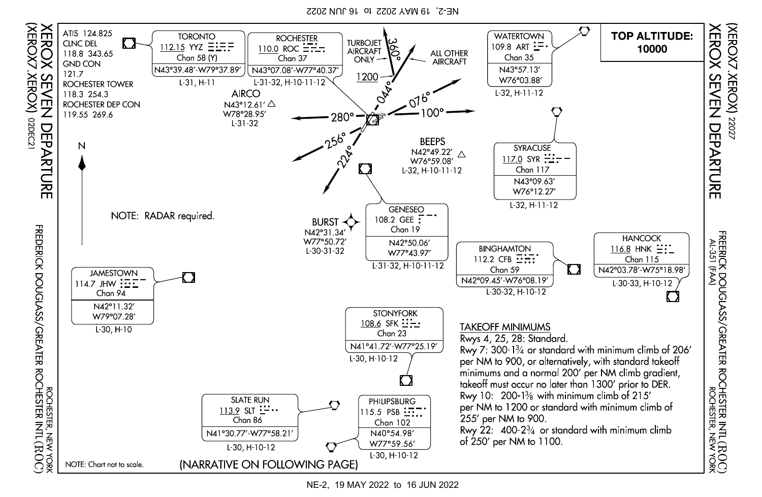NE-2, 19 MAY 2022 to 16 JUN 2022



NE-2, 19 MAY 2022 to 16 JUN 2022